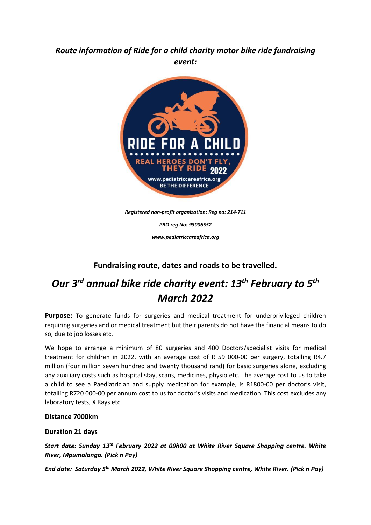## *Route information of Ride for a child charity motor bike ride fundraising event:*



*Registered non-profit organization: Reg no: 214-711*

*PBO reg No: 93006552*

*www.pediatriccareafrica.org*

### **Fundraising route, dates and roads to be travelled.**

# *Our 3rd annual bike ride charity event: 13th February to 5th March 2022*

**Purpose:** To generate funds for surgeries and medical treatment for underprivileged children requiring surgeries and or medical treatment but their parents do not have the financial means to do so, due to job losses etc.

We hope to arrange a minimum of 80 surgeries and 400 Doctors/specialist visits for medical treatment for children in 2022, with an average cost of R 59 000-00 per surgery, totalling R4.7 million (four million seven hundred and twenty thousand rand) for basic surgeries alone, excluding any auxiliary costs such as hospital stay, scans, medicines, physio etc. The average cost to us to take a child to see a Paediatrician and supply medication for example, is R1800-00 per doctor's visit, totalling R720 000-00 per annum cost to us for doctor's visits and medication. This cost excludes any laboratory tests, X Rays etc.

#### **Distance 7000km**

#### **Duration 21 days**

*Start date: Sunday 13th February 2022 at 09h00 at White River Square Shopping centre. White River, Mpumalanga. (Pick n Pay)*

*End date: Saturday 5th March 2022, White River Square Shopping centre, White River. (Pick n Pay)*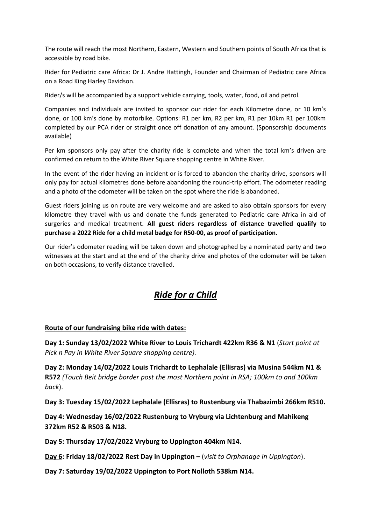The route will reach the most Northern, Eastern, Western and Southern points of South Africa that is accessible by road bike.

Rider for Pediatric care Africa: Dr J. Andre Hattingh, Founder and Chairman of Pediatric care Africa on a Road King Harley Davidson.

Rider/s will be accompanied by a support vehicle carrying, tools, water, food, oil and petrol.

Companies and individuals are invited to sponsor our rider for each Kilometre done, or 10 km's done, or 100 km's done by motorbike. Options: R1 per km, R2 per km, R1 per 10km R1 per 100km completed by our PCA rider or straight once off donation of any amount. (Sponsorship documents available)

Per km sponsors only pay after the charity ride is complete and when the total km's driven are confirmed on return to the White River Square shopping centre in White River.

In the event of the rider having an incident or is forced to abandon the charity drive, sponsors will only pay for actual kilometres done before abandoning the round-trip effort. The odometer reading and a photo of the odometer will be taken on the spot where the ride is abandoned.

Guest riders joining us on route are very welcome and are asked to also obtain sponsors for every kilometre they travel with us and donate the funds generated to Pediatric care Africa in aid of surgeries and medical treatment. **All guest riders regardless of distance travelled qualify to purchase a 2022 Ride for a child metal badge for R50-00, as proof of participation.**

Our rider's odometer reading will be taken down and photographed by a nominated party and two witnesses at the start and at the end of the charity drive and photos of the odometer will be taken on both occasions, to verify distance travelled.

## *Ride for a Child*

#### **Route of our fundraising bike ride with dates:**

**Day 1: Sunday 13/02/2022 White River to Louis Trichardt 422km R36 & N1** (*Start point at Pick n Pay in White River Square shopping centre).*

**Day 2: Monday 14/02/2022 Louis Trichardt to Lephalale (Ellisras) via Musina 544km N1 & R572** *(Touch Beit bridge border post the most Northern point in RSA; 100km to and 100km back*).

**Day 3: Tuesday 15/02/2022 Lephalale (Ellisras) to Rustenburg via Thabazimbi 266km R510.**

**Day 4: Wednesday 16/02/2022 Rustenburg to Vryburg via Lichtenburg and Mahikeng 372km R52 & R503 & N18.**

**Day 5: Thursday 17/02/2022 Vryburg to Uppington 404km N14.**

**Day 6: Friday 18/02/2022 Rest Day in Uppington –** (*visit to Orphanage in Uppington*).

**Day 7: Saturday 19/02/2022 Uppington to Port Nolloth 538km N14.**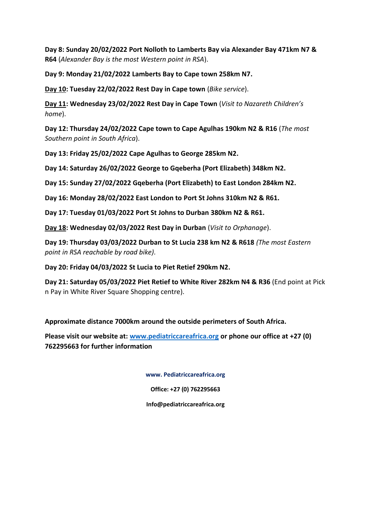**Day 8: Sunday 20/02/2022 Port Nolloth to Lamberts Bay via Alexander Bay 471km N7 & R64** (*Alexander Bay is the most Western point in RSA*).

**Day 9: Monday 21/02/2022 Lamberts Bay to Cape town 258km N7.**

**Day 10: Tuesday 22/02/2022 Rest Day in Cape town** (*Bike service*).

**Day 11: Wednesday 23/02/2022 Rest Day in Cape Town** (*Visit to Nazareth Children's home*).

**Day 12: Thursday 24/02/2022 Cape town to Cape Agulhas 190km N2 & R16** (*The most Southern point in South Africa*).

**Day 13: Friday 25/02/2022 Cape Agulhas to George 285km N2.**

**Day 14: Saturday 26/02/2022 George to Gqeberha (Port Elizabeth) 348km N2.**

**Day 15: Sunday 27/02/2022 Gqeberha (Port Elizabeth) to East London 284km N2.**

**Day 16: Monday 28/02/2022 East London to Port St Johns 310km N2 & R61.**

**Day 17: Tuesday 01/03/2022 Port St Johns to Durban 380km N2 & R61.**

**Day 18: Wednesday 02/03/2022 Rest Day in Durban** (*Visit to Orphanage*).

**Day 19: Thursday 03/03/2022 Durban to St Lucia 238 km N2 & R618** *(The most Eastern point in RSA reachable by road bike).*

**Day 20: Friday 04/03/2022 St Lucia to Piet Retief 290km N2.**

**Day 21: Saturday 05/03/2022 Piet Retief to White River 282km N4 & R36** (End point at Pick n Pay in White River Square Shopping centre).

**Approximate distance 7000km around the outside perimeters of South Africa.**

**Please visit our website at: [www.pediatriccareafrica.org](http://www.pediatriccareafrica.org/) or phone our office at +27 (0) 762295663 for further information**

**www. Pediatriccareafrica.org**

**Office: +27 (0) 762295663**

**Info@pediatriccareafrica.org**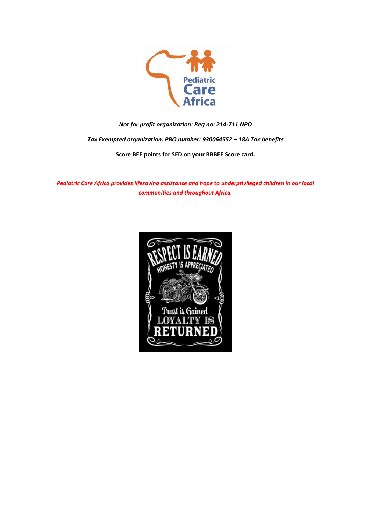

*Not for profit organization: Reg no: 214-711 NPO*

*Tax Exempted organization: PBO number: 930064552 – 18A Tax benefits*

**Score BEE points for SED on your BBBEE Score card.**

*Pediatric Care Africa provides lifesaving assistance and hope to underprivileged children in our local communities and throughout Africa.*